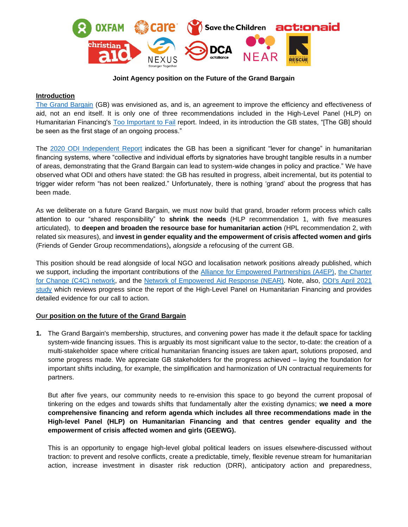

### **Joint Agency position on the Future of the Grand Bargain**

## **Introduction**

[The Grand Bargain](https://reliefweb.int/sites/reliefweb.int/files/resources/Grand_Bargain_final_22_May_FINAL-2.pdf) (GB) was envisioned as, and is, an agreement to improve the efficiency and effectiveness of aid, not an end itself. It is only one of three recommendations included in the High-Level Panel (HLP) on Humanitarian Financing's [Too Important to Fail](https://reliefweb.int/sites/reliefweb.int/files/resources/%5BHLP%20Report%5D%20Too%20important%20to%20fail%E2%80%94addressing%20the%20humanitarian%20financing%20gap.pdf) report. Indeed, in its introduction the GB states, "[The GB] should be seen as the first stage of an ongoing process."

The [2020 ODI Independent Report](https://www.odi.org/publications/17044-grand-bargain-annual-independent-report-2020) indicates the GB has been a significant "lever for change" in humanitarian financing systems, where "collective and individual efforts by signatories have brought tangible results in a number of areas, demonstrating that the Grand Bargain can lead to system-wide changes in policy and practice." We have observed what ODI and others have stated: the GB has resulted in progress, albeit incremental, but its potential to trigger wider reform "has not been realized." Unfortunately, there is nothing 'grand' about the progress that has been made.

As we deliberate on a future Grand Bargain, we must now build that grand, broader reform process which calls attention to our "shared responsibility" to **shrink the needs** (HLP recommendation 1, with five measures articulated), to **deepen and broaden the resource base for humanitarian action** (HPL recommendation 2, with related six measures), and **invest in gender equality and the empowerment of crisis affected women and girls**  (Friends of Gender Group recommendations)**,** *alongside* a refocusing of the current GB.

This position should be read alongside of local NGO and localisation network positions already published, which we support, including the important contributions of the [Alliance for Empowered Partnerships \(A4EP\),](https://a4ep.net/?p=635) [the Charter](https://charter4change.files.wordpress.com/2021/03/charter4change-recommendations-on-grand-bargain-2.0-.pdf)  [for Change \(C4C\) network,](https://charter4change.files.wordpress.com/2021/03/charter4change-recommendations-on-grand-bargain-2.0-.pdf) and the [Network of Empowered Aid Response \(NEAR\).](https://static1.squarespace.com/static/5fc4fd249698b02c7f3acfe9/t/60115a22eef3935c51ca76e9/1611749930381/Future+of+the+Grand+Bargain+-+NEAR+Statement.pdf) Note, also, [ODI's April 2021](https://odi.org/en/publications/reducing-the-humanitarian-financing-gap-review-of-progress-since-the-report-of-the-high-level-panel-on-humanitarian-financing/)  [study](https://odi.org/en/publications/reducing-the-humanitarian-financing-gap-review-of-progress-since-the-report-of-the-high-level-panel-on-humanitarian-financing/) which reviews progress since the report of the High-Level Panel on Humanitarian Financing and provides detailed evidence for our call to action.

## **Our position on the future of the Grand Bargain**

**1.** The Grand Bargain's membership, structures, and convening power has made it *the* default space for tackling system-wide financing issues. This is arguably its most significant value to the sector, to-date: the creation of a multi-stakeholder space where critical humanitarian financing issues are taken apart, solutions proposed, and some progress made. We appreciate GB stakeholders for the progress achieved – laying the foundation for important shifts including, for example, the simplification and harmonization of UN contractual requirements for partners.

But after five years, our community needs to re-envision this space to go beyond the current proposal of tinkering on the edges and towards shifts that fundamentally alter the existing dynamics; **we need a more comprehensive financing and reform agenda which includes all three recommendations made in the High-level Panel (HLP) on Humanitarian Financing and that centres gender equality and the empowerment of crisis affected women and girls (GEEWG).**

This is an opportunity to engage high-level global political leaders on issues elsewhere-discussed without traction: to prevent and resolve conflicts, create a predictable, timely, flexible revenue stream for humanitarian action, increase investment in disaster risk reduction (DRR), anticipatory action and preparedness,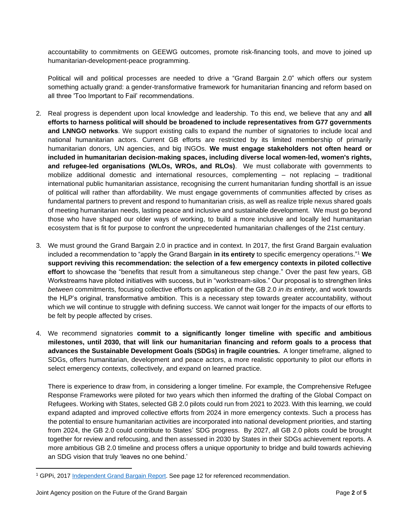accountability to commitments on GEEWG outcomes, promote risk-financing tools, and move to joined up humanitarian-development-peace programming.

Political will and political processes are needed to drive a "Grand Bargain 2.0" which offers our system something actually grand: a gender-transformative framework for humanitarian financing and reform based on all three 'Too Important to Fail' recommendations.

- 2. Real progress is dependent upon local knowledge and leadership. To this end, we believe that any and **all efforts to harness political will should be broadened to include representatives from G77 governments and LNNGO networks**. We support existing calls to expand the number of signatories to include local and national humanitarian actors. Current GB efforts are restricted by its limited membership of primarily humanitarian donors, UN agencies, and big INGOs. **We must engage stakeholders not often heard or included in humanitarian decision-making spaces, including diverse local women-led, women's rights, and refugee-led organisations (WLOs, WROs, and RLOs)**. We must collaborate with governments to mobilize additional domestic and international resources, complementing – not replacing – traditional international public humanitarian assistance, recognising the current humanitarian funding shortfall is an issue of political will rather than affordability. We must engage governments of communities affected by crises as fundamental partners to prevent and respond to humanitarian crisis, as well as realize triple nexus shared goals of meeting humanitarian needs, lasting peace and inclusive and sustainable development. We must go beyond those who have shaped our older ways of working, to build a more inclusive and locally led humanitarian ecosystem that is fit for purpose to confront the unprecedented humanitarian challenges of the 21st century.
- 3. We must ground the Grand Bargain 2.0 in practice and in context. In 2017, the first Grand Bargain evaluation included a recommendation to "apply the Grand Bargain **in its entirety** to specific emergency operations." <sup>1</sup> **We support reviving this recommendation: the selection of a few emergency contexts in piloted collective effort** to showcase the "benefits that result from a simultaneous step change." Over the past few years, GB Workstreams have piloted initiatives with success, but in "workstream-silos." Our proposal is to strengthen links *between* commitments, focusing collective efforts on application of the GB 2.0 *in its entirety*, and work towards the HLP's original, transformative ambition. This is a necessary step towards greater accountability, without which we will continue to struggle with defining success. We cannot wait longer for the impacts of our efforts to be felt by people affected by crises.
- 4. We recommend signatories **commit to a significantly longer timeline with specific and ambitious milestones, until 2030, that will link our humanitarian financing and reform goals to a process that advances the Sustainable Development Goals (SDGs) in fragile countries.** A longer timeframe, aligned to SDGs, offers humanitarian, development and peace actors, a more realistic opportunity to pilot our efforts in select emergency contexts, collectively, and expand on learned practice.

There is experience to draw from, in considering a longer timeline. For example, the Comprehensive Refugee Response Frameworks were piloted for two years which then informed the drafting of the Global Compact on Refugees. Working with States, selected GB 2.0 pilots could run from 2021 to 2023. With this learning, we could expand adapted and improved collective efforts from 2024 in more emergency contexts. Such a process has the potential to ensure humanitarian activities are incorporated into national development priorities, and starting from 2024, the GB 2.0 could contribute to States' SDG progress. By 2027, all GB 2.0 pilots could be brought together for review and refocusing, and then assessed in 2030 by States in their SDGs achievement reports. A more ambitious GB 2.0 timeline and process offers a unique opportunity to bridge and build towards achieving an SDG vision that truly 'leaves no one behind.'

<sup>&</sup>lt;sup>1</sup> GPPi, 2017 [Independent Grand Bargain Report.](https://www.gppi.net/media/Horvath__Steets__Ruppert__2017__Independent_Grand_Bargain_Report.PDF) See page 12 for referenced recommendation.

Joint Agency position on the Future of the Grand Bargain Page **2** of **5**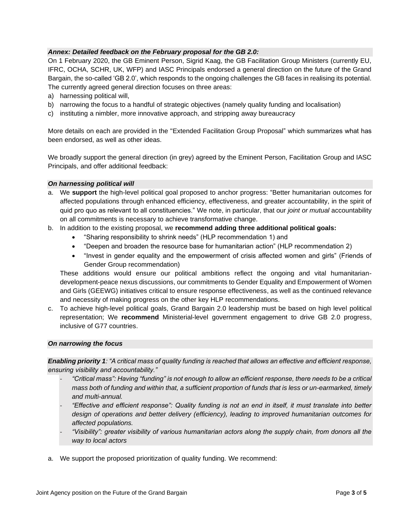# *Annex: Detailed feedback on the February proposal for the GB 2.0:*

On 1 February 2020, the GB Eminent Person, Sigrid Kaag, the GB Facilitation Group Ministers (currently EU, IFRC, OCHA, SCHR, UK, WFP) and IASC Principals endorsed a general direction on the future of the Grand Bargain, the so-called 'GB 2.0', which responds to the ongoing challenges the GB faces in realising its potential. The currently agreed general direction focuses on three areas:

- a) harnessing political will,
- b) narrowing the focus to a handful of strategic objectives (namely quality funding and localisation)
- c) instituting a nimbler, more innovative approach, and stripping away bureaucracy

More details on each are provided in the "Extended Facilitation Group Proposal" which summarizes what has been endorsed, as well as other ideas.

We broadly support the general direction (in grey) agreed by the Eminent Person, Facilitation Group and IASC Principals, and offer additional feedback:

#### *On harnessing political will*

- a. We **support** the high-level political goal proposed to anchor progress: "Better humanitarian outcomes for affected populations through enhanced efficiency, effectiveness, and greater accountability, in the spirit of quid pro quo as relevant to all constituencies." We note, in particular, that our *joint or mutual* accountability on all commitments is necessary to achieve transformative change.
- b. In addition to the existing proposal, we **recommend adding three additional political goals:**
	- "Sharing responsibility to shrink needs" (HLP recommendation 1) and
	- "Deepen and broaden the resource base for humanitarian action" (HLP recommendation 2)
	- "Invest in gender equality and the empowerment of crisis affected women and girls" (Friends of Gender Group recommendation)

These additions would ensure our political ambitions reflect the ongoing and vital humanitariandevelopment-peace nexus discussions, our commitments to Gender Equality and Empowerment of Women and Girls (GEEWG) initiatives critical to ensure response effectiveness, as well as the continued relevance and necessity of making progress on the other key HLP recommendations.

c. To achieve high-level political goals, Grand Bargain 2.0 leadership must be based on high level political representation; We **recommend** Ministerial-level government engagement to drive GB 2.0 progress, inclusive of G77 countries.

#### *On narrowing the focus*

*Enabling priority 1: "A critical mass of quality funding is reached that allows an effective and efficient response, ensuring visibility and accountability."* 

- *"Critical mass": Having "funding" is not enough to allow an efficient response, there needs to be a critical mass both of funding and within that, a sufficient proportion of funds that is less or un-earmarked, timely and multi-annual.*
- *"Effective and efficient response": Quality funding is not an end in itself, it must translate into better design of operations and better delivery (efficiency), leading to improved humanitarian outcomes for affected populations.*
- *"Visibility": greater visibility of various humanitarian actors along the supply chain, from donors all the way to local actors*
- a. We support the proposed prioritization of quality funding. We recommend: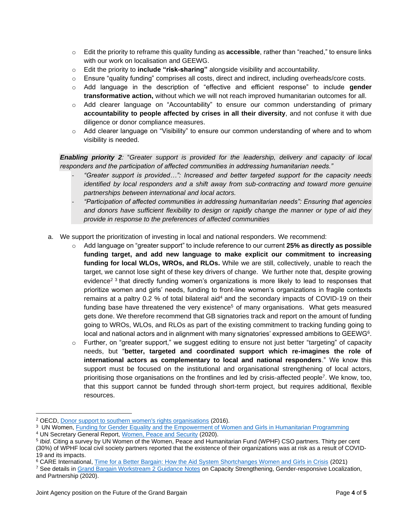- o Edit the priority to reframe this quality funding as **accessible**, rather than "reached," to ensure links with our work on localisation and GEEWG.
- o Edit the priority to **include "risk-sharing"** alongside visibility and accountability.
- o Ensure "quality funding" comprises all costs, direct and indirect, including overheads/core costs.
- o Add language in the description of "effective and efficient response" to include **gender transformative action,** without which we will not reach improved humanitarian outcomes for all.
- o Add clearer language on "Accountability" to ensure our common understanding of primary **accountability to people affected by crises in all their diversity**, and not confuse it with due diligence or donor compliance measures.
- o Add clearer language on "Visibility" to ensure our common understanding of where and to whom visibility is needed.

*Enabling priority 2:* "*Greater support is provided for the leadership, delivery and capacity of local responders and the participation of affected communities in addressing humanitarian needs."* 

- *"Greater support is provided…": Increased and better targeted support for the capacity needs identified by local responders and a shift away from sub-contracting and toward more genuine partnerships between international and local actors.*
- *"Participation of affected communities in addressing humanitarian needs": Ensuring that agencies and donors have sufficient flexibility to design or rapidly change the manner or type of aid they provide in response to the preferences of affected communities*
- a. We support the prioritization of investing in local and national responders. We recommend:
	- Add language on "greater support" to include reference to our current 25% as directly as possible **funding target, and add new language to make explicit our commitment to increasing funding for local WLOs, WROs, and RLOs.** While we are still, collectively, unable to reach the target, we cannot lose sight of these key drivers of change. We further note that, despite growing evidence<sup>2 3</sup> that directly funding women's organizations is more likely to lead to responses that prioritize women and girls' needs, funding to front-line women's organizations in fragile contexts remains at a paltry 0.2 % of total bilateral aid<sup>4</sup> and the secondary impacts of COVID-19 on their funding base have threatened the very existence<sup>5</sup> of many organisations. What gets measured gets done. We therefore recommend that GB signatories track and report on the amount of funding going to WROs, WLOs, and RLOs as part of the existing commitment to tracking funding going to local and national actors and in alignment with many signatories' expressed ambitions to GEEWG<sup>6</sup>.
	- o Further, on "greater support," we suggest editing to ensure not just better "targeting" of capacity needs, but "**better, targeted and coordinated support which re-imagines the role of international actors as complementary to local and national responders**." We know this support must be focused on the institutional and organisational strengthening of local actors, prioritising those organisations on the frontlines and led by crisis-affected people<sup>7</sup>. We know, too, that this support cannot be funded through short-term project, but requires additional, flexible resources.

<sup>2</sup> OECD, [Donor support to southern women's rights organisations](https://www.oecd.org/dac/gender-development/OECD-report-on-womens-rights-organisations.pdf) (2016).

<sup>&</sup>lt;sup>3</sup> UN Women, [Funding for Gender Equality and the Empowerment of Women and Girls in Humanitarian Programming](https://www.unwomen.org/-/media/headquarters/attachments/sections/library/publications/2020/funding-for-geewg-in-humanitarian-programming-en.pdf?la=en&vs=637)

<sup>4</sup> UN Secretary General Report, [Women, Peace and Security](https://undocs.org/en/S/2020/946) (2020).

<sup>5</sup> *Ibid*. Citing a survey by UN Women of the Women, Peace and Humanitarian Fund (WPHF) CSO partners. Thirty per cent (30%) of WPHF local civil society partners reported that the existence of their organizations was at risk as a result of COVID-19 and its impacts.

<sup>6</sup> CARE International, [Time for a Better Bargain: How the Aid System Shortchanges Women and Girls in Crisis](https://www.care.org/wp-content/uploads/2021/03/She-Leads-in-Crisis-Report_4.7.21_updated.pdf) (2021)

<sup>&</sup>lt;sup>7</sup> See details in [Grand Bargain Workstream 2 Guidance Notes](https://gblocalisation.ifrc.org/grand-bargain-localisation-workstream-2/guidance/) on Capacity Strengthening, Gender-responsive Localization, and Partnership (2020).